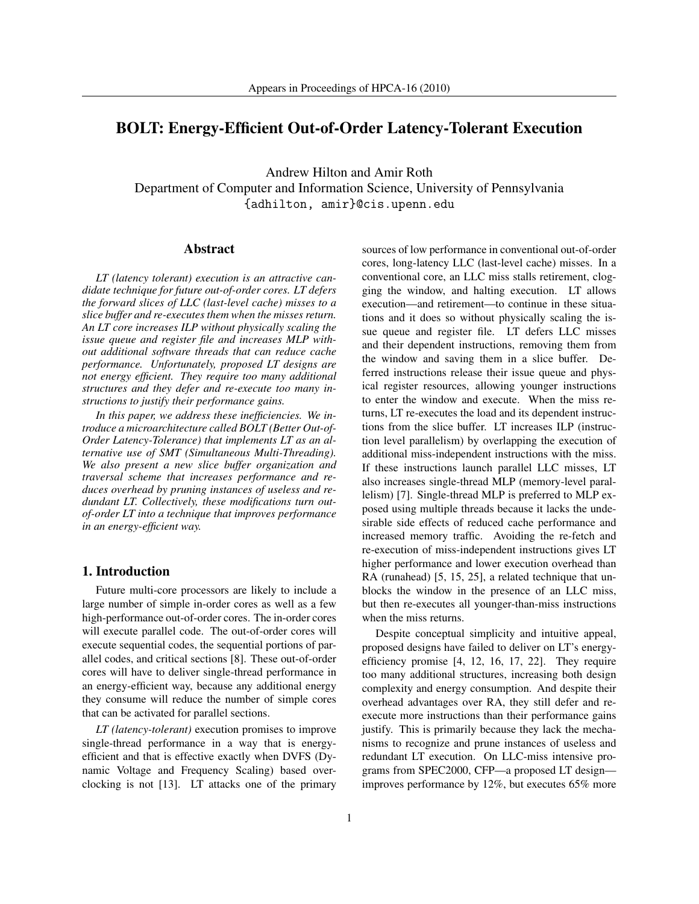# BOLT: Energy-Efficient Out-of-Order Latency-Tolerant Execution

Andrew Hilton and Amir Roth Department of Computer and Information Science, University of Pennsylvania {adhilton, amir}@cis.upenn.edu

### Abstract

*LT (latency tolerant) execution is an attractive candidate technique for future out-of-order cores. LT defers the forward slices of LLC (last-level cache) misses to a slice buffer and re-executes them when the misses return. An LT core increases ILP without physically scaling the issue queue and register file and increases MLP without additional software threads that can reduce cache performance. Unfortunately, proposed LT designs are not energy efficient. They require too many additional structures and they defer and re-execute too many instructions to justify their performance gains.*

*In this paper, we address these inefficiencies. We introduce a microarchitecture called BOLT (Better Out-of-Order Latency-Tolerance) that implements LT as an alternative use of SMT (Simultaneous Multi-Threading). We also present a new slice buffer organization and traversal scheme that increases performance and reduces overhead by pruning instances of useless and redundant LT. Collectively, these modifications turn outof-order LT into a technique that improves performance in an energy-efficient way.*

# 1. Introduction

Future multi-core processors are likely to include a large number of simple in-order cores as well as a few high-performance out-of-order cores. The in-order cores will execute parallel code. The out-of-order cores will execute sequential codes, the sequential portions of parallel codes, and critical sections [8]. These out-of-order cores will have to deliver single-thread performance in an energy-efficient way, because any additional energy they consume will reduce the number of simple cores that can be activated for parallel sections.

*LT (latency-tolerant)* execution promises to improve single-thread performance in a way that is energyefficient and that is effective exactly when DVFS (Dynamic Voltage and Frequency Scaling) based overclocking is not [13]. LT attacks one of the primary sources of low performance in conventional out-of-order cores, long-latency LLC (last-level cache) misses. In a conventional core, an LLC miss stalls retirement, clogging the window, and halting execution. LT allows execution—and retirement—to continue in these situations and it does so without physically scaling the issue queue and register file. LT defers LLC misses and their dependent instructions, removing them from the window and saving them in a slice buffer. Deferred instructions release their issue queue and physical register resources, allowing younger instructions to enter the window and execute. When the miss returns, LT re-executes the load and its dependent instructions from the slice buffer. LT increases ILP (instruction level parallelism) by overlapping the execution of additional miss-independent instructions with the miss. If these instructions launch parallel LLC misses, LT also increases single-thread MLP (memory-level parallelism) [7]. Single-thread MLP is preferred to MLP exposed using multiple threads because it lacks the undesirable side effects of reduced cache performance and increased memory traffic. Avoiding the re-fetch and re-execution of miss-independent instructions gives LT higher performance and lower execution overhead than RA (runahead) [5, 15, 25], a related technique that unblocks the window in the presence of an LLC miss, but then re-executes all younger-than-miss instructions when the miss returns.

Despite conceptual simplicity and intuitive appeal, proposed designs have failed to deliver on LT's energyefficiency promise [4, 12, 16, 17, 22]. They require too many additional structures, increasing both design complexity and energy consumption. And despite their overhead advantages over RA, they still defer and reexecute more instructions than their performance gains justify. This is primarily because they lack the mechanisms to recognize and prune instances of useless and redundant LT execution. On LLC-miss intensive programs from SPEC2000, CFP—a proposed LT design improves performance by 12%, but executes 65% more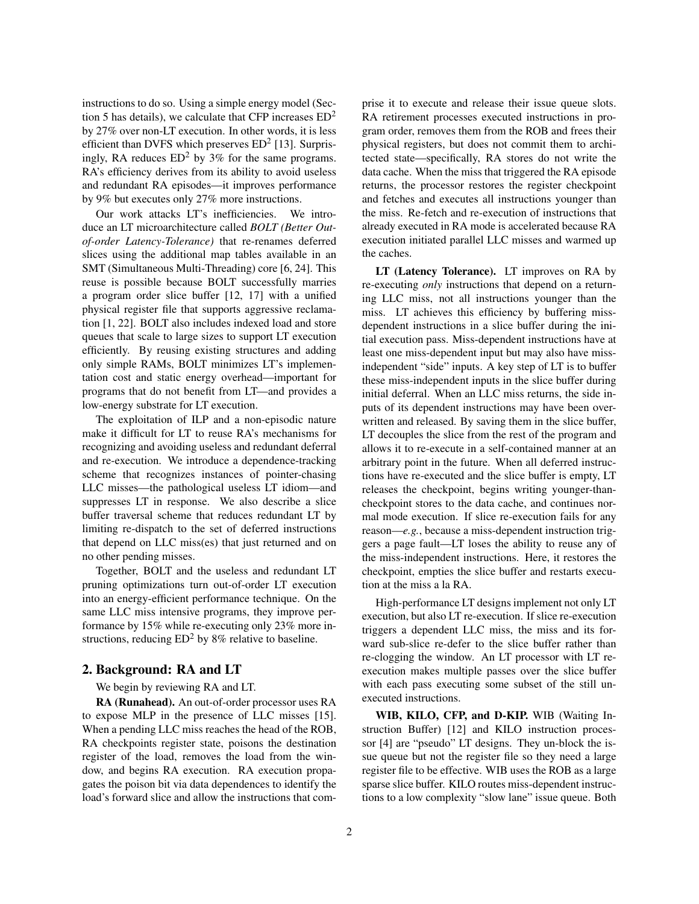instructions to do so. Using a simple energy model (Section 5 has details), we calculate that CFP increases  $ED<sup>2</sup>$ by 27% over non-LT execution. In other words, it is less efficient than DVFS which preserves  $ED<sup>2</sup>$  [13]. Surprisingly, RA reduces  $ED^2$  by 3% for the same programs. RA's efficiency derives from its ability to avoid useless and redundant RA episodes—it improves performance by 9% but executes only 27% more instructions.

Our work attacks LT's inefficiencies. We introduce an LT microarchitecture called *BOLT (Better Outof-order Latency-Tolerance)* that re-renames deferred slices using the additional map tables available in an SMT (Simultaneous Multi-Threading) core [6, 24]. This reuse is possible because BOLT successfully marries a program order slice buffer [12, 17] with a unified physical register file that supports aggressive reclamation [1, 22]. BOLT also includes indexed load and store queues that scale to large sizes to support LT execution efficiently. By reusing existing structures and adding only simple RAMs, BOLT minimizes LT's implementation cost and static energy overhead—important for programs that do not benefit from LT—and provides a low-energy substrate for LT execution.

The exploitation of ILP and a non-episodic nature make it difficult for LT to reuse RA's mechanisms for recognizing and avoiding useless and redundant deferral and re-execution. We introduce a dependence-tracking scheme that recognizes instances of pointer-chasing LLC misses—the pathological useless LT idiom—and suppresses LT in response. We also describe a slice buffer traversal scheme that reduces redundant LT by limiting re-dispatch to the set of deferred instructions that depend on LLC miss(es) that just returned and on no other pending misses.

Together, BOLT and the useless and redundant LT pruning optimizations turn out-of-order LT execution into an energy-efficient performance technique. On the same LLC miss intensive programs, they improve performance by 15% while re-executing only 23% more instructions, reducing  $ED^2$  by 8% relative to baseline.

# 2. Background: RA and LT

We begin by reviewing RA and LT.

RA (Runahead). An out-of-order processor uses RA to expose MLP in the presence of LLC misses [15]. When a pending LLC miss reaches the head of the ROB, RA checkpoints register state, poisons the destination register of the load, removes the load from the window, and begins RA execution. RA execution propagates the poison bit via data dependences to identify the load's forward slice and allow the instructions that comprise it to execute and release their issue queue slots. RA retirement processes executed instructions in program order, removes them from the ROB and frees their physical registers, but does not commit them to architected state—specifically, RA stores do not write the data cache. When the miss that triggered the RA episode returns, the processor restores the register checkpoint and fetches and executes all instructions younger than the miss. Re-fetch and re-execution of instructions that already executed in RA mode is accelerated because RA execution initiated parallel LLC misses and warmed up the caches.

LT (Latency Tolerance). LT improves on RA by re-executing *only* instructions that depend on a returning LLC miss, not all instructions younger than the miss. LT achieves this efficiency by buffering missdependent instructions in a slice buffer during the initial execution pass. Miss-dependent instructions have at least one miss-dependent input but may also have missindependent "side" inputs. A key step of LT is to buffer these miss-independent inputs in the slice buffer during initial deferral. When an LLC miss returns, the side inputs of its dependent instructions may have been overwritten and released. By saving them in the slice buffer, LT decouples the slice from the rest of the program and allows it to re-execute in a self-contained manner at an arbitrary point in the future. When all deferred instructions have re-executed and the slice buffer is empty, LT releases the checkpoint, begins writing younger-thancheckpoint stores to the data cache, and continues normal mode execution. If slice re-execution fails for any reason—*e.g.*, because a miss-dependent instruction triggers a page fault—LT loses the ability to reuse any of the miss-independent instructions. Here, it restores the checkpoint, empties the slice buffer and restarts execution at the miss a la RA.

High-performance LT designs implement not only LT execution, but also LT re-execution. If slice re-execution triggers a dependent LLC miss, the miss and its forward sub-slice re-defer to the slice buffer rather than re-clogging the window. An LT processor with LT reexecution makes multiple passes over the slice buffer with each pass executing some subset of the still unexecuted instructions.

WIB, KILO, CFP, and D-KIP. WIB (Waiting Instruction Buffer) [12] and KILO instruction processor [4] are "pseudo" LT designs. They un-block the issue queue but not the register file so they need a large register file to be effective. WIB uses the ROB as a large sparse slice buffer. KILO routes miss-dependent instructions to a low complexity "slow lane" issue queue. Both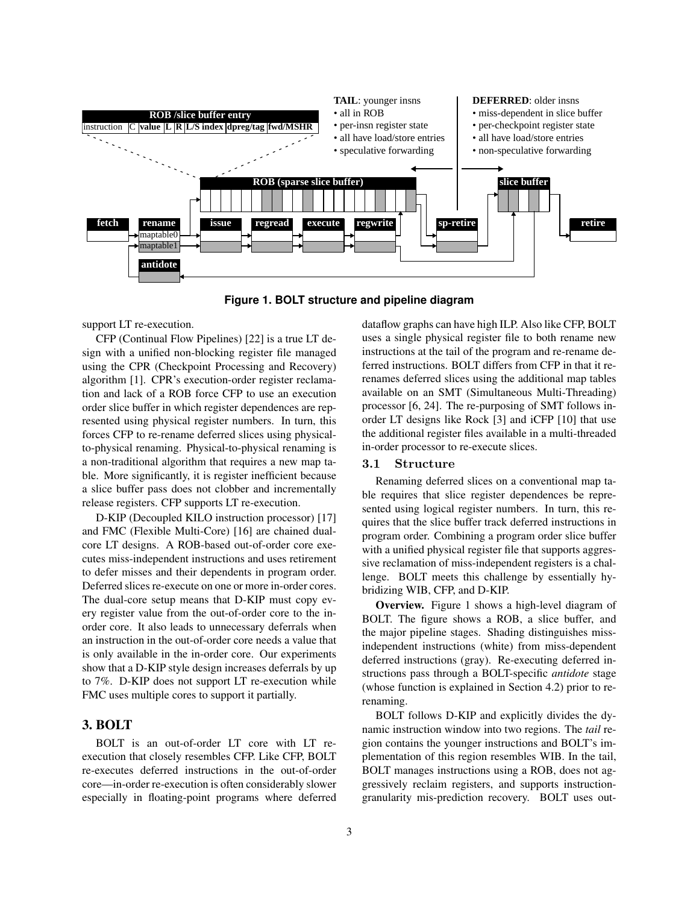

**Figure 1. BOLT structure and pipeline diagram**

support LT re-execution.

CFP (Continual Flow Pipelines) [22] is a true LT design with a unified non-blocking register file managed using the CPR (Checkpoint Processing and Recovery) algorithm [1]. CPR's execution-order register reclamation and lack of a ROB force CFP to use an execution order slice buffer in which register dependences are represented using physical register numbers. In turn, this forces CFP to re-rename deferred slices using physicalto-physical renaming. Physical-to-physical renaming is a non-traditional algorithm that requires a new map table. More significantly, it is register inefficient because a slice buffer pass does not clobber and incrementally release registers. CFP supports LT re-execution.

D-KIP (Decoupled KILO instruction processor) [17] and FMC (Flexible Multi-Core) [16] are chained dualcore LT designs. A ROB-based out-of-order core executes miss-independent instructions and uses retirement to defer misses and their dependents in program order. Deferred slices re-execute on one or more in-order cores. The dual-core setup means that D-KIP must copy every register value from the out-of-order core to the inorder core. It also leads to unnecessary deferrals when an instruction in the out-of-order core needs a value that is only available in the in-order core. Our experiments show that a D-KIP style design increases deferrals by up to 7%. D-KIP does not support LT re-execution while FMC uses multiple cores to support it partially.

# 3. BOLT

BOLT is an out-of-order LT core with LT reexecution that closely resembles CFP. Like CFP, BOLT re-executes deferred instructions in the out-of-order core—in-order re-execution is often considerably slower especially in floating-point programs where deferred

dataflow graphs can have high ILP. Also like CFP, BOLT uses a single physical register file to both rename new instructions at the tail of the program and re-rename deferred instructions. BOLT differs from CFP in that it rerenames deferred slices using the additional map tables available on an SMT (Simultaneous Multi-Threading) processor [6, 24]. The re-purposing of SMT follows inorder LT designs like Rock [3] and iCFP [10] that use the additional register files available in a multi-threaded in-order processor to re-execute slices.

# 3.1 Structure

Renaming deferred slices on a conventional map table requires that slice register dependences be represented using logical register numbers. In turn, this requires that the slice buffer track deferred instructions in program order. Combining a program order slice buffer with a unified physical register file that supports aggressive reclamation of miss-independent registers is a challenge. BOLT meets this challenge by essentially hybridizing WIB, CFP, and D-KIP.

Overview. Figure 1 shows a high-level diagram of BOLT. The figure shows a ROB, a slice buffer, and the major pipeline stages. Shading distinguishes missindependent instructions (white) from miss-dependent deferred instructions (gray). Re-executing deferred instructions pass through a BOLT-specific *antidote* stage (whose function is explained in Section 4.2) prior to rerenaming.

BOLT follows D-KIP and explicitly divides the dynamic instruction window into two regions. The *tail* region contains the younger instructions and BOLT's implementation of this region resembles WIB. In the tail, BOLT manages instructions using a ROB, does not aggressively reclaim registers, and supports instructiongranularity mis-prediction recovery. BOLT uses out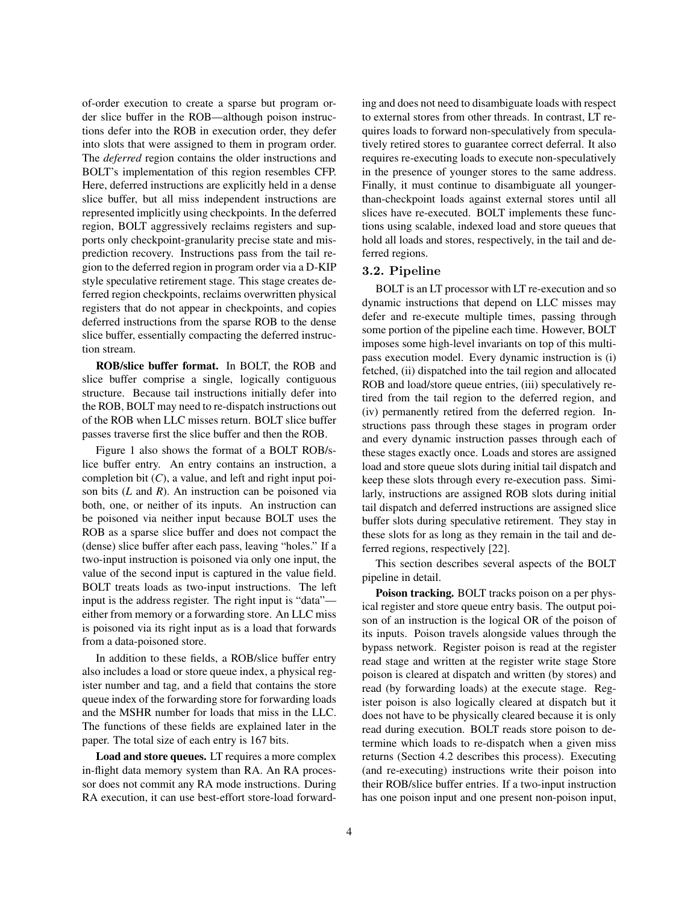of-order execution to create a sparse but program order slice buffer in the ROB—although poison instructions defer into the ROB in execution order, they defer into slots that were assigned to them in program order. The *deferred* region contains the older instructions and BOLT's implementation of this region resembles CFP. Here, deferred instructions are explicitly held in a dense slice buffer, but all miss independent instructions are represented implicitly using checkpoints. In the deferred region, BOLT aggressively reclaims registers and supports only checkpoint-granularity precise state and misprediction recovery. Instructions pass from the tail region to the deferred region in program order via a D-KIP style speculative retirement stage. This stage creates deferred region checkpoints, reclaims overwritten physical registers that do not appear in checkpoints, and copies deferred instructions from the sparse ROB to the dense slice buffer, essentially compacting the deferred instruction stream.

ROB/slice buffer format. In BOLT, the ROB and slice buffer comprise a single, logically contiguous structure. Because tail instructions initially defer into the ROB, BOLT may need to re-dispatch instructions out of the ROB when LLC misses return. BOLT slice buffer passes traverse first the slice buffer and then the ROB.

Figure 1 also shows the format of a BOLT ROB/slice buffer entry. An entry contains an instruction, a completion bit (*C*), a value, and left and right input poison bits (*L* and *R*). An instruction can be poisoned via both, one, or neither of its inputs. An instruction can be poisoned via neither input because BOLT uses the ROB as a sparse slice buffer and does not compact the (dense) slice buffer after each pass, leaving "holes." If a two-input instruction is poisoned via only one input, the value of the second input is captured in the value field. BOLT treats loads as two-input instructions. The left input is the address register. The right input is "data" either from memory or a forwarding store. An LLC miss is poisoned via its right input as is a load that forwards from a data-poisoned store.

In addition to these fields, a ROB/slice buffer entry also includes a load or store queue index, a physical register number and tag, and a field that contains the store queue index of the forwarding store for forwarding loads and the MSHR number for loads that miss in the LLC. The functions of these fields are explained later in the paper. The total size of each entry is 167 bits.

Load and store queues. LT requires a more complex in-flight data memory system than RA. An RA processor does not commit any RA mode instructions. During RA execution, it can use best-effort store-load forwarding and does not need to disambiguate loads with respect to external stores from other threads. In contrast, LT requires loads to forward non-speculatively from speculatively retired stores to guarantee correct deferral. It also requires re-executing loads to execute non-speculatively in the presence of younger stores to the same address. Finally, it must continue to disambiguate all youngerthan-checkpoint loads against external stores until all slices have re-executed. BOLT implements these functions using scalable, indexed load and store queues that hold all loads and stores, respectively, in the tail and deferred regions.

# 3.2. Pipeline

BOLT is an LT processor with LT re-execution and so dynamic instructions that depend on LLC misses may defer and re-execute multiple times, passing through some portion of the pipeline each time. However, BOLT imposes some high-level invariants on top of this multipass execution model. Every dynamic instruction is (i) fetched, (ii) dispatched into the tail region and allocated ROB and load/store queue entries, (iii) speculatively retired from the tail region to the deferred region, and (iv) permanently retired from the deferred region. Instructions pass through these stages in program order and every dynamic instruction passes through each of these stages exactly once. Loads and stores are assigned load and store queue slots during initial tail dispatch and keep these slots through every re-execution pass. Similarly, instructions are assigned ROB slots during initial tail dispatch and deferred instructions are assigned slice buffer slots during speculative retirement. They stay in these slots for as long as they remain in the tail and deferred regions, respectively [22].

This section describes several aspects of the BOLT pipeline in detail.

Poison tracking. BOLT tracks poison on a per physical register and store queue entry basis. The output poison of an instruction is the logical OR of the poison of its inputs. Poison travels alongside values through the bypass network. Register poison is read at the register read stage and written at the register write stage Store poison is cleared at dispatch and written (by stores) and read (by forwarding loads) at the execute stage. Register poison is also logically cleared at dispatch but it does not have to be physically cleared because it is only read during execution. BOLT reads store poison to determine which loads to re-dispatch when a given miss returns (Section 4.2 describes this process). Executing (and re-executing) instructions write their poison into their ROB/slice buffer entries. If a two-input instruction has one poison input and one present non-poison input,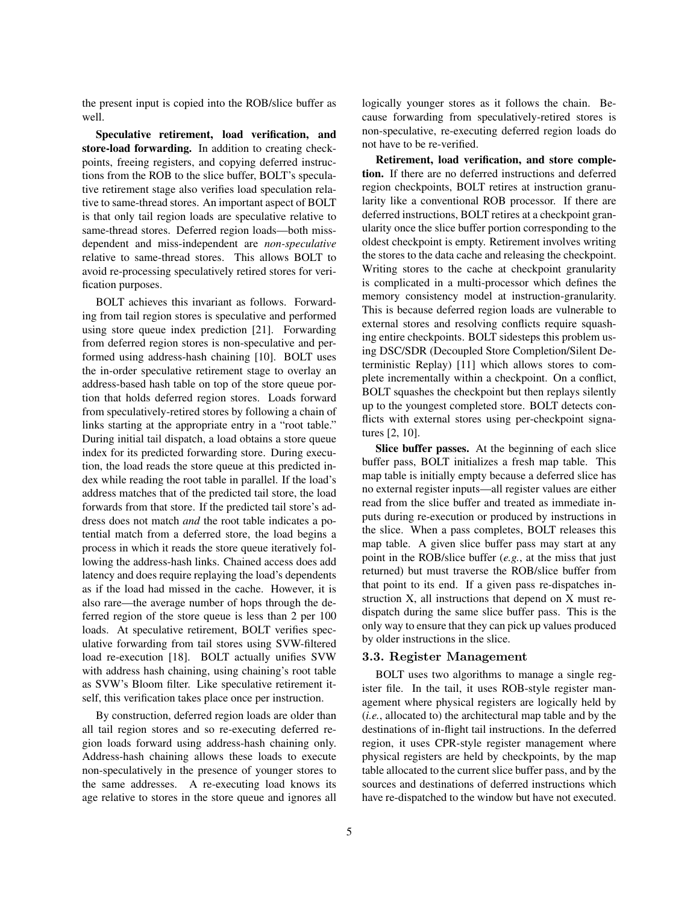the present input is copied into the ROB/slice buffer as well.

Speculative retirement, load verification, and store-load forwarding. In addition to creating checkpoints, freeing registers, and copying deferred instructions from the ROB to the slice buffer, BOLT's speculative retirement stage also verifies load speculation relative to same-thread stores. An important aspect of BOLT is that only tail region loads are speculative relative to same-thread stores. Deferred region loads—both missdependent and miss-independent are *non-speculative* relative to same-thread stores. This allows BOLT to avoid re-processing speculatively retired stores for verification purposes.

BOLT achieves this invariant as follows. Forwarding from tail region stores is speculative and performed using store queue index prediction [21]. Forwarding from deferred region stores is non-speculative and performed using address-hash chaining [10]. BOLT uses the in-order speculative retirement stage to overlay an address-based hash table on top of the store queue portion that holds deferred region stores. Loads forward from speculatively-retired stores by following a chain of links starting at the appropriate entry in a "root table." During initial tail dispatch, a load obtains a store queue index for its predicted forwarding store. During execution, the load reads the store queue at this predicted index while reading the root table in parallel. If the load's address matches that of the predicted tail store, the load forwards from that store. If the predicted tail store's address does not match *and* the root table indicates a potential match from a deferred store, the load begins a process in which it reads the store queue iteratively following the address-hash links. Chained access does add latency and does require replaying the load's dependents as if the load had missed in the cache. However, it is also rare—the average number of hops through the deferred region of the store queue is less than 2 per 100 loads. At speculative retirement, BOLT verifies speculative forwarding from tail stores using SVW-filtered load re-execution [18]. BOLT actually unifies SVW with address hash chaining, using chaining's root table as SVW's Bloom filter. Like speculative retirement itself, this verification takes place once per instruction.

By construction, deferred region loads are older than all tail region stores and so re-executing deferred region loads forward using address-hash chaining only. Address-hash chaining allows these loads to execute non-speculatively in the presence of younger stores to the same addresses. A re-executing load knows its age relative to stores in the store queue and ignores all

logically younger stores as it follows the chain. Because forwarding from speculatively-retired stores is non-speculative, re-executing deferred region loads do not have to be re-verified.

Retirement, load verification, and store completion. If there are no deferred instructions and deferred region checkpoints, BOLT retires at instruction granularity like a conventional ROB processor. If there are deferred instructions, BOLT retires at a checkpoint granularity once the slice buffer portion corresponding to the oldest checkpoint is empty. Retirement involves writing the stores to the data cache and releasing the checkpoint. Writing stores to the cache at checkpoint granularity is complicated in a multi-processor which defines the memory consistency model at instruction-granularity. This is because deferred region loads are vulnerable to external stores and resolving conflicts require squashing entire checkpoints. BOLT sidesteps this problem using DSC/SDR (Decoupled Store Completion/Silent Deterministic Replay) [11] which allows stores to complete incrementally within a checkpoint. On a conflict, BOLT squashes the checkpoint but then replays silently up to the youngest completed store. BOLT detects conflicts with external stores using per-checkpoint signatures [2, 10].

Slice buffer passes. At the beginning of each slice buffer pass, BOLT initializes a fresh map table. This map table is initially empty because a deferred slice has no external register inputs—all register values are either read from the slice buffer and treated as immediate inputs during re-execution or produced by instructions in the slice. When a pass completes, BOLT releases this map table. A given slice buffer pass may start at any point in the ROB/slice buffer (*e.g.*, at the miss that just returned) but must traverse the ROB/slice buffer from that point to its end. If a given pass re-dispatches instruction X, all instructions that depend on X must redispatch during the same slice buffer pass. This is the only way to ensure that they can pick up values produced by older instructions in the slice.

#### 3.3. Register Management

BOLT uses two algorithms to manage a single register file. In the tail, it uses ROB-style register management where physical registers are logically held by (*i.e.*, allocated to) the architectural map table and by the destinations of in-flight tail instructions. In the deferred region, it uses CPR-style register management where physical registers are held by checkpoints, by the map table allocated to the current slice buffer pass, and by the sources and destinations of deferred instructions which have re-dispatched to the window but have not executed.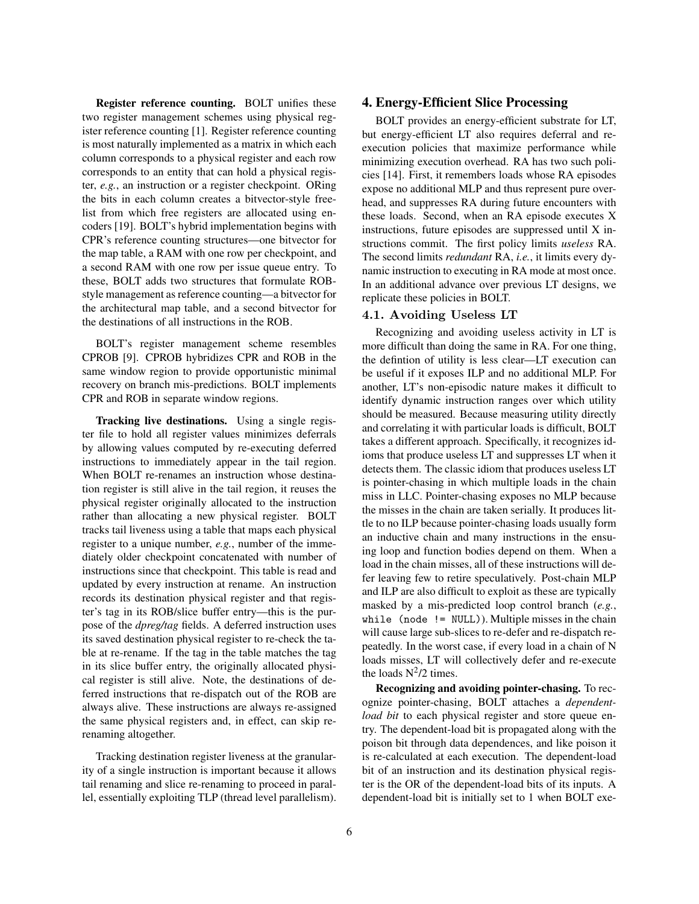Register reference counting. BOLT unifies these two register management schemes using physical register reference counting [1]. Register reference counting is most naturally implemented as a matrix in which each column corresponds to a physical register and each row corresponds to an entity that can hold a physical register, *e.g.*, an instruction or a register checkpoint. ORing the bits in each column creates a bitvector-style freelist from which free registers are allocated using encoders [19]. BOLT's hybrid implementation begins with CPR's reference counting structures—one bitvector for the map table, a RAM with one row per checkpoint, and a second RAM with one row per issue queue entry. To these, BOLT adds two structures that formulate ROBstyle management as reference counting—a bitvector for the architectural map table, and a second bitvector for the destinations of all instructions in the ROB.

BOLT's register management scheme resembles CPROB [9]. CPROB hybridizes CPR and ROB in the same window region to provide opportunistic minimal recovery on branch mis-predictions. BOLT implements CPR and ROB in separate window regions.

Tracking live destinations. Using a single register file to hold all register values minimizes deferrals by allowing values computed by re-executing deferred instructions to immediately appear in the tail region. When BOLT re-renames an instruction whose destination register is still alive in the tail region, it reuses the physical register originally allocated to the instruction rather than allocating a new physical register. BOLT tracks tail liveness using a table that maps each physical register to a unique number, *e.g.*, number of the immediately older checkpoint concatenated with number of instructions since that checkpoint. This table is read and updated by every instruction at rename. An instruction records its destination physical register and that register's tag in its ROB/slice buffer entry—this is the purpose of the *dpreg/tag* fields. A deferred instruction uses its saved destination physical register to re-check the table at re-rename. If the tag in the table matches the tag in its slice buffer entry, the originally allocated physical register is still alive. Note, the destinations of deferred instructions that re-dispatch out of the ROB are always alive. These instructions are always re-assigned the same physical registers and, in effect, can skip rerenaming altogether.

Tracking destination register liveness at the granularity of a single instruction is important because it allows tail renaming and slice re-renaming to proceed in parallel, essentially exploiting TLP (thread level parallelism).

# 4. Energy-Efficient Slice Processing

BOLT provides an energy-efficient substrate for LT, but energy-efficient LT also requires deferral and reexecution policies that maximize performance while minimizing execution overhead. RA has two such policies [14]. First, it remembers loads whose RA episodes expose no additional MLP and thus represent pure overhead, and suppresses RA during future encounters with these loads. Second, when an RA episode executes X instructions, future episodes are suppressed until X instructions commit. The first policy limits *useless* RA. The second limits *redundant* RA, *i.e.*, it limits every dynamic instruction to executing in RA mode at most once. In an additional advance over previous LT designs, we replicate these policies in BOLT.

#### 4.1. Avoiding Useless LT

Recognizing and avoiding useless activity in LT is more difficult than doing the same in RA. For one thing, the defintion of utility is less clear—LT execution can be useful if it exposes ILP and no additional MLP. For another, LT's non-episodic nature makes it difficult to identify dynamic instruction ranges over which utility should be measured. Because measuring utility directly and correlating it with particular loads is difficult, BOLT takes a different approach. Specifically, it recognizes idioms that produce useless LT and suppresses LT when it detects them. The classic idiom that produces useless LT is pointer-chasing in which multiple loads in the chain miss in LLC. Pointer-chasing exposes no MLP because the misses in the chain are taken serially. It produces little to no ILP because pointer-chasing loads usually form an inductive chain and many instructions in the ensuing loop and function bodies depend on them. When a load in the chain misses, all of these instructions will defer leaving few to retire speculatively. Post-chain MLP and ILP are also difficult to exploit as these are typically masked by a mis-predicted loop control branch (*e.g.*, while (node != NULL)). Multiple misses in the chain will cause large sub-slices to re-defer and re-dispatch repeatedly. In the worst case, if every load in a chain of N loads misses, LT will collectively defer and re-execute the loads  $N^2/2$  times.

Recognizing and avoiding pointer-chasing. To recognize pointer-chasing, BOLT attaches a *dependentload bit* to each physical register and store queue entry. The dependent-load bit is propagated along with the poison bit through data dependences, and like poison it is re-calculated at each execution. The dependent-load bit of an instruction and its destination physical register is the OR of the dependent-load bits of its inputs. A dependent-load bit is initially set to 1 when BOLT exe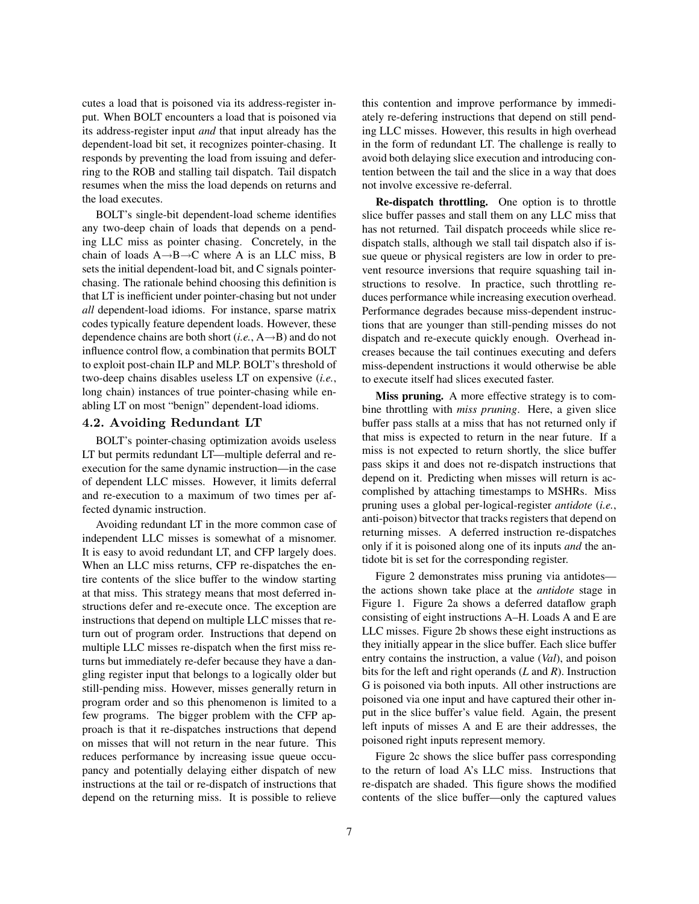cutes a load that is poisoned via its address-register input. When BOLT encounters a load that is poisoned via its address-register input *and* that input already has the dependent-load bit set, it recognizes pointer-chasing. It responds by preventing the load from issuing and deferring to the ROB and stalling tail dispatch. Tail dispatch resumes when the miss the load depends on returns and the load executes.

BOLT's single-bit dependent-load scheme identifies any two-deep chain of loads that depends on a pending LLC miss as pointer chasing. Concretely, in the chain of loads  $A \rightarrow B \rightarrow C$  where A is an LLC miss, B sets the initial dependent-load bit, and C signals pointerchasing. The rationale behind choosing this definition is that LT is inefficient under pointer-chasing but not under *all* dependent-load idioms. For instance, sparse matrix codes typically feature dependent loads. However, these dependence chains are both short (*i.e.*, A→B) and do not influence control flow, a combination that permits BOLT to exploit post-chain ILP and MLP. BOLT's threshold of two-deep chains disables useless LT on expensive (*i.e.*, long chain) instances of true pointer-chasing while enabling LT on most "benign" dependent-load idioms.

### 4.2. Avoiding Redundant LT

BOLT's pointer-chasing optimization avoids useless LT but permits redundant LT—multiple deferral and reexecution for the same dynamic instruction—in the case of dependent LLC misses. However, it limits deferral and re-execution to a maximum of two times per affected dynamic instruction.

Avoiding redundant LT in the more common case of independent LLC misses is somewhat of a misnomer. It is easy to avoid redundant LT, and CFP largely does. When an LLC miss returns, CFP re-dispatches the entire contents of the slice buffer to the window starting at that miss. This strategy means that most deferred instructions defer and re-execute once. The exception are instructions that depend on multiple LLC misses that return out of program order. Instructions that depend on multiple LLC misses re-dispatch when the first miss returns but immediately re-defer because they have a dangling register input that belongs to a logically older but still-pending miss. However, misses generally return in program order and so this phenomenon is limited to a few programs. The bigger problem with the CFP approach is that it re-dispatches instructions that depend on misses that will not return in the near future. This reduces performance by increasing issue queue occupancy and potentially delaying either dispatch of new instructions at the tail or re-dispatch of instructions that depend on the returning miss. It is possible to relieve

this contention and improve performance by immediately re-defering instructions that depend on still pending LLC misses. However, this results in high overhead in the form of redundant LT. The challenge is really to avoid both delaying slice execution and introducing contention between the tail and the slice in a way that does not involve excessive re-deferral.

Re-dispatch throttling. One option is to throttle slice buffer passes and stall them on any LLC miss that has not returned. Tail dispatch proceeds while slice redispatch stalls, although we stall tail dispatch also if issue queue or physical registers are low in order to prevent resource inversions that require squashing tail instructions to resolve. In practice, such throttling reduces performance while increasing execution overhead. Performance degrades because miss-dependent instructions that are younger than still-pending misses do not dispatch and re-execute quickly enough. Overhead increases because the tail continues executing and defers miss-dependent instructions it would otherwise be able to execute itself had slices executed faster.

Miss pruning. A more effective strategy is to combine throttling with *miss pruning*. Here, a given slice buffer pass stalls at a miss that has not returned only if that miss is expected to return in the near future. If a miss is not expected to return shortly, the slice buffer pass skips it and does not re-dispatch instructions that depend on it. Predicting when misses will return is accomplished by attaching timestamps to MSHRs. Miss pruning uses a global per-logical-register *antidote* (*i.e.*, anti-poison) bitvector that tracks registers that depend on returning misses. A deferred instruction re-dispatches only if it is poisoned along one of its inputs *and* the antidote bit is set for the corresponding register.

Figure 2 demonstrates miss pruning via antidotes the actions shown take place at the *antidote* stage in Figure 1. Figure 2a shows a deferred dataflow graph consisting of eight instructions A–H. Loads A and E are LLC misses. Figure 2b shows these eight instructions as they initially appear in the slice buffer. Each slice buffer entry contains the instruction, a value (*Val*), and poison bits for the left and right operands (*L* and *R*). Instruction G is poisoned via both inputs. All other instructions are poisoned via one input and have captured their other input in the slice buffer's value field. Again, the present left inputs of misses A and E are their addresses, the poisoned right inputs represent memory.

Figure 2c shows the slice buffer pass corresponding to the return of load A's LLC miss. Instructions that re-dispatch are shaded. This figure shows the modified contents of the slice buffer—only the captured values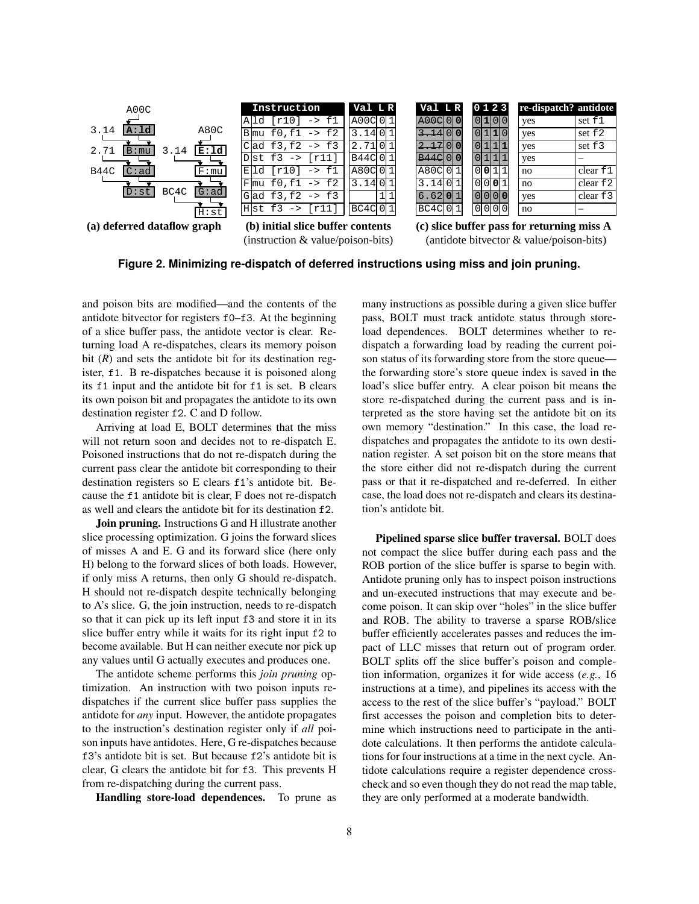

**Figure 2. Minimizing re-dispatch of deferred instructions using miss and join pruning.**

and poison bits are modified—and the contents of the man antidote bitvector for registers  $f0-f3$ . At the beginning pass, and the expected of the expected  $\sim$  2011 and explanating the pass, of a slice buffer pass, the antidote vector is clear. Re-D st f3 -> [r11]  $\liminf_{n \to \infty} \log a \wedge \log a$ bit  $(R)$  and sets the antidote bit for its destination register, f1. B re-dispatches because it is poisoned along its f1 input and the antidote bit for f1 is set. B clears  $\frac{1}{4}$   $\frac{1}{4}$ turning load A re-dispatches, clears its memory poison **(b) initial slice buffer contents** destination register  $f2$ . C and D follow. its own poison bit and propagates the antidote to its own

Arriving at load E, BOLT determines that the miss will not return soon and decides not to re-dispatch E. Poisoned instructions that do not re-dispatch during the current pass clear the antidote bit corresponding to their destination registers so E clears f1's antidote bit. Because the f1 antidote bit is clear, F does not re-dispatch as well and clears the antidote bit for its destination f2.

**Join pruning.** Instructions G and H illustrate another slice processing optimization. G joins the forward slices of misses A and E. G and its forward slice (here only H) belong to the forward slices of both loads. However, if only miss A returns, then only G should re-dispatch. H should not re-dispatch despite technically belonging to A's slice. G, the join instruction, needs to re-dispatch so that it can pick up its left input f3 and store it in its slice buffer entry while it waits for its right input f2 to become available. But H can neither execute nor pick up any values until G actually executes and produces one.

The antidote scheme performs this *join pruning* optimization. An instruction with two poison inputs redispatches if the current slice buffer pass supplies the antidote for *any* input. However, the antidote propagates to the instruction's destination register only if *all* poison inputs have antidotes. Here, G re-dispatches because f3's antidote bit is set. But because f2's antidote bit is clear, G clears the antidote bit for f3. This prevents H from re-dispatching during the current pass.

Handling store-load dependences. To prune as

many instructions as possible during a given slice buffer pass, BOLT must track antidote status through storeload dependences. BOLT determines whether to redispatch a forwarding load by reading the current poison status of its forwarding store from the store queue the forwarding store's store queue index is saved in the load's slice buffer entry. A clear poison bit means the store re-dispatched during the current pass and is interpreted as the store having set the antidote bit on its own memory "destination." In this case, the load redispatches and propagates the antidote to its own destination register. A set poison bit on the store means that the store either did not re-dispatch during the current pass or that it re-dispatched and re-deferred. In either case, the load does not re-dispatch and clears its destination's antidote bit.

Pipelined sparse slice buffer traversal. BOLT does not compact the slice buffer during each pass and the ROB portion of the slice buffer is sparse to begin with. Antidote pruning only has to inspect poison instructions and un-executed instructions that may execute and become poison. It can skip over "holes" in the slice buffer and ROB. The ability to traverse a sparse ROB/slice buffer efficiently accelerates passes and reduces the impact of LLC misses that return out of program order. BOLT splits off the slice buffer's poison and completion information, organizes it for wide access (*e.g.*, 16 instructions at a time), and pipelines its access with the access to the rest of the slice buffer's "payload." BOLT first accesses the poison and completion bits to determine which instructions need to participate in the antidote calculations. It then performs the antidote calculations for four instructions at a time in the next cycle. Antidote calculations require a register dependence crosscheck and so even though they do not read the map table, they are only performed at a moderate bandwidth.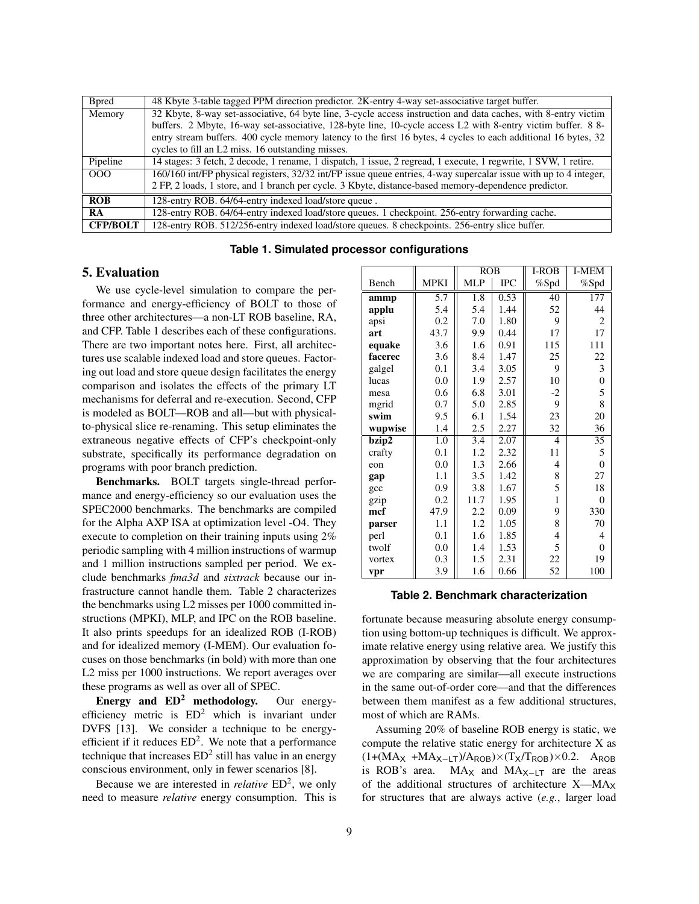| <b>B</b> pred   | 48 Kbyte 3-table tagged PPM direction predictor. 2K-entry 4-way set-associative target buffer.                    |  |  |  |  |  |
|-----------------|-------------------------------------------------------------------------------------------------------------------|--|--|--|--|--|
| Memory          | 32 Kbyte, 8-way set-associative, 64 byte line, 3-cycle access instruction and data caches, with 8-entry victim    |  |  |  |  |  |
|                 | buffers. 2 Mbyte, 16-way set-associative, 128-byte line, 10-cycle access L2 with 8-entry victim buffer. 8 8-      |  |  |  |  |  |
|                 | entry stream buffers. 400 cycle memory latency to the first 16 bytes, 4 cycles to each additional 16 bytes, 32    |  |  |  |  |  |
|                 | cycles to fill an L2 miss. 16 outstanding misses.                                                                 |  |  |  |  |  |
| Pipeline        | 14 stages: 3 fetch, 2 decode, 1 rename, 1 dispatch, 1 issue, 2 regread, 1 execute, 1 regwrite, 1 SVW, 1 retire.   |  |  |  |  |  |
| 000             | 160/160 int/FP physical registers, 32/32 int/FP issue queue entries, 4-way supercalar issue with up to 4 integer, |  |  |  |  |  |
|                 | 2 FP, 2 loads, 1 store, and 1 branch per cycle. 3 Kbyte, distance-based memory-dependence predictor.              |  |  |  |  |  |
| <b>ROB</b>      | 128-entry ROB, 64/64-entry indexed load/store queue.                                                              |  |  |  |  |  |
| <b>RA</b>       | 128-entry ROB. 64/64-entry indexed load/store queues. 1 checkpoint. 256-entry forwarding cache.                   |  |  |  |  |  |
| <b>CFP/BOLT</b> | 128-entry ROB. 512/256-entry indexed load/store queues. 8 checkpoints. 256-entry slice buffer.                    |  |  |  |  |  |

**Table 1. Simulated processor configurations**

# 5. Evaluation

We use cycle-level simulation to compare the performance and energy-efficiency of BOLT to those of three other architectures—a non-LT ROB baseline, RA, and CFP. Table 1 describes each of these configurations. There are two important notes here. First, all architectures use scalable indexed load and store queues. Factoring out load and store queue design facilitates the energy comparison and isolates the effects of the primary LT mechanisms for deferral and re-execution. Second, CFP is modeled as BOLT—ROB and all—but with physicalto-physical slice re-renaming. This setup eliminates the extraneous negative effects of CFP's checkpoint-only substrate, specifically its performance degradation on programs with poor branch prediction.

Benchmarks. BOLT targets single-thread performance and energy-efficiency so our evaluation uses the SPEC2000 benchmarks. The benchmarks are compiled for the Alpha AXP ISA at optimization level -O4. They execute to completion on their training inputs using 2% periodic sampling with 4 million instructions of warmup and 1 million instructions sampled per period. We exclude benchmarks *fma3d* and *sixtrack* because our infrastructure cannot handle them. Table 2 characterizes the benchmarks using L2 misses per 1000 committed instructions (MPKI), MLP, and IPC on the ROB baseline. It also prints speedups for an idealized ROB (I-ROB) and for idealized memory (I-MEM). Our evaluation focuses on those benchmarks (in bold) with more than one L2 miss per 1000 instructions. We report averages over these programs as well as over all of SPEC.

**Energy and**  $ED^2$  **methodology.** Our energyefficiency metric is  $ED^2$  which is invariant under DVFS [13]. We consider a technique to be energyefficient if it reduces  $ED^2$ . We note that a performance technique that increases  $ED^2$  still has value in an energy conscious environment, only in fewer scenarios [8].

Because we are interested in *relative* ED<sup>2</sup>, we only need to measure *relative* energy consumption. This is

|         |                  | <b>ROB</b> |            | I-ROB          | I-MEM            |
|---------|------------------|------------|------------|----------------|------------------|
| Bench   | <b>MPKI</b>      | <b>MLP</b> | <b>IPC</b> | %Spd           | %Spd             |
| ammp    | 5.7              | 1.8        | 0.53       | 40             | 177              |
| applu   | 5.4              | 5.4        | 1.44       | 52             | 44               |
| apsi    | 0.2              | 7.0        | 1.80       | 9              | $\overline{c}$   |
| art     | 43.7             | 9.9        | 0.44       | 17             | 17               |
| equake  | 3.6              | 1.6        | 0.91       | 115            | 111              |
| facerec | 3.6              | 8.4        | 1.47       | 25             | 22               |
| galgel  | 0.1              | 3.4        | 3.05       | 9              | 3                |
| lucas   | 0.0              | 1.9        | 2.57       | 10             | $\boldsymbol{0}$ |
| mesa    | 0.6              | 6.8        | 3.01       | $-2$           | 5                |
| mgrid   | 0.7              | 5.0        | 2.85       | 9              | 8                |
| swim    | 9.5              | 6.1        | 1.54       | 23             | 20               |
| wupwise | 1.4              | 2.5        | 2.27       | 32             | 36               |
| bzip2   | $\overline{1.0}$ | 3.4        | 2.07       | $\overline{4}$ | $\overline{35}$  |
| crafty  | 0.1              | 1.2        | 2.32       | 11             | 5                |
| eon     | 0.0              | 1.3        | 2.66       | $\overline{4}$ | $\boldsymbol{0}$ |
| gap     | 1.1              | 3.5        | 1.42       | 8              | 27               |
| gcc     | 0.9              | 3.8        | 1.67       | 5              | 18               |
| gzip    | 0.2              | 11.7       | 1.95       | $\mathbf{1}$   | $\overline{0}$   |
| mcf     | 47.9             | 2.2        | 0.09       | 9              | 330              |
| parser  | 1.1              | 1.2        | 1.05       | 8              | 70               |
| perl    | 0.1              | 1.6        | 1.85       | 4              | $\overline{4}$   |
| twolf   | 0.0              | 1.4        | 1.53       | 5              | $\overline{0}$   |
| vortex  | 0.3              | 1.5        | 2.31       | 22             | 19               |
| vpr     | 3.9              | 1.6        | 0.66       | 52             | 100              |

#### **Table 2. Benchmark characterization**

fortunate because measuring absolute energy consumption using bottom-up techniques is difficult. We approximate relative energy using relative area. We justify this approximation by observing that the four architectures we are comparing are similar—all execute instructions in the same out-of-order core—and that the differences between them manifest as a few additional structures, most of which are RAMs.

Assuming 20% of baseline ROB energy is static, we compute the relative static energy for architecture X as  $(1+(MA_X + MA_{X-LT})/A_{ROB}) \times (T_X/T_{ROB}) \times 0.2$ . A<sub>rob</sub> is ROB's area. MA<sub>X</sub> and MA<sub>X−LT</sub> are the areas of the additional structures of architecture  $X-MA_X$ for structures that are always active (*e.g.*, larger load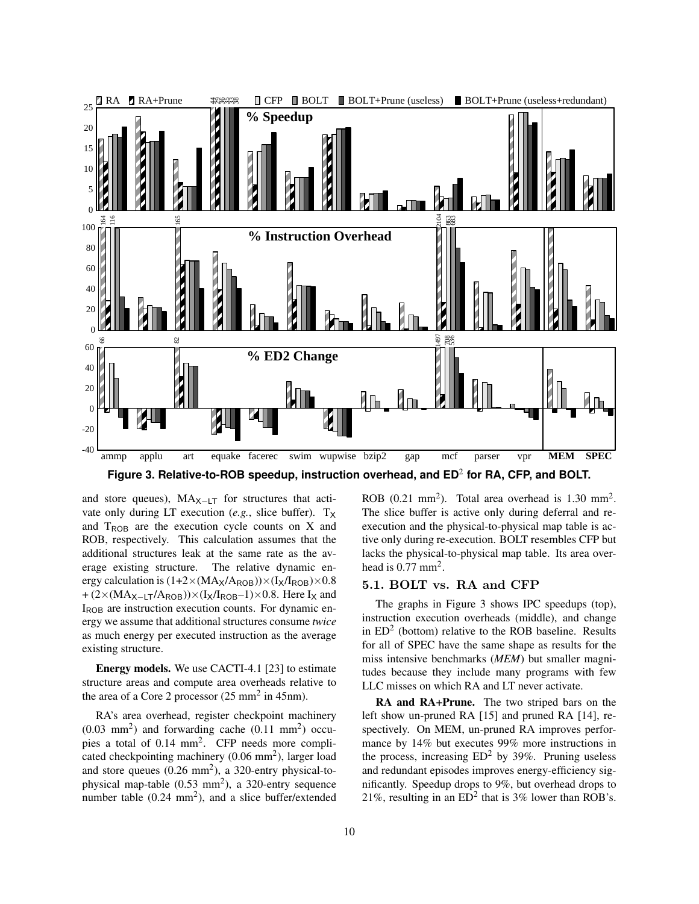

**Figure 3. Relative-to-ROB speedup, instruction overhead, and ED**<sup>2</sup> **for RA, CFP, and BOLT.**

and store queues),  $MA_{X-LT}$  for structures that activate only during LT execution (*e.g.*, slice buffer).  $T_X$ and  $T_{ROB}$  are the execution cycle counts on X and ROB, respectively. This calculation assumes that the additional structures leak at the same rate as the average existing structure. The relative dynamic energy calculation is  $(1+2\times (MA_X/A_{ROB}))\times (I_X/I_{ROB})\times 0.8$ +  $(2\times (MA_{X-LT}/A_{ROB})) \times (I_X/I_{ROB} - 1) \times 0.8$ . Here  $I_X$  and I<sub>ROB</sub> are instruction execution counts. For dynamic energy we assume that additional structures consume *twice* as much energy per executed instruction as the average existing structure.

Energy models. We use CACTI-4.1 [23] to estimate structure areas and compute area overheads relative to the area of a Core 2 processor  $(25 \text{ mm}^2 \text{ in } 45 \text{ nm})$ .

RA's area overhead, register checkpoint machinery  $(0.03 \text{ mm}^2)$  and forwarding cache  $(0.11 \text{ mm}^2)$  occupies a total of 0.14 mm<sup>2</sup>. CFP needs more complicated checkpointing machinery  $(0.06 \text{ mm}^2)$ , larger load and store queues  $(0.26 \text{ mm}^2)$ , a 320-entry physical-tophysical map-table  $(0.53 \text{ mm}^2)$ , a 320-entry sequence number table  $(0.24 \text{ mm}^2)$ , and a slice buffer/extended

ROB  $(0.21 \text{ mm}^2)$ . Total area overhead is 1.30 mm<sup>2</sup>. The slice buffer is active only during deferral and reexecution and the physical-to-physical map table is active only during re-execution. BOLT resembles CFP but lacks the physical-to-physical map table. Its area overhead is  $0.77$  mm<sup>2</sup>.

# 5.1. BOLT vs. RA and CFP

The graphs in Figure 3 shows IPC speedups (top), instruction execution overheads (middle), and change in  $ED<sup>2</sup>$  (bottom) relative to the ROB baseline. Results for all of SPEC have the same shape as results for the miss intensive benchmarks (*MEM*) but smaller magnitudes because they include many programs with few LLC misses on which RA and LT never activate.

RA and RA+Prune. The two striped bars on the left show un-pruned RA [15] and pruned RA [14], respectively. On MEM, un-pruned RA improves performance by 14% but executes 99% more instructions in the process, increasing  $ED^2$  by 39%. Pruning useless and redundant episodes improves energy-efficiency significantly. Speedup drops to 9%, but overhead drops to 21%, resulting in an  $ED^2$  that is 3% lower than ROB's.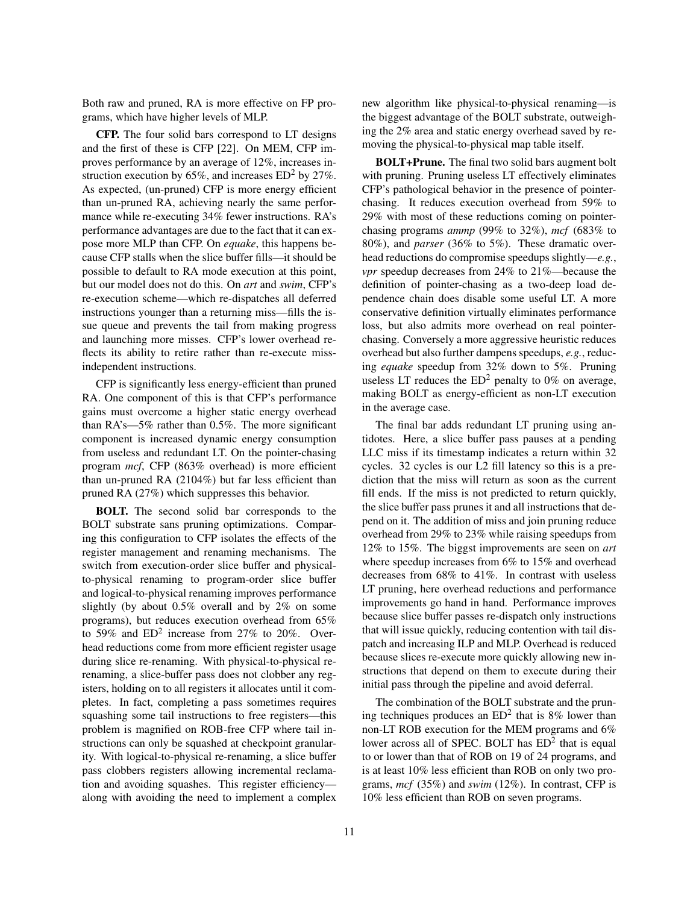Both raw and pruned, RA is more effective on FP programs, which have higher levels of MLP.

CFP. The four solid bars correspond to LT designs and the first of these is CFP [22]. On MEM, CFP improves performance by an average of 12%, increases instruction execution by 65%, and increases  $ED<sup>2</sup>$  by 27%. As expected, (un-pruned) CFP is more energy efficient than un-pruned RA, achieving nearly the same performance while re-executing 34% fewer instructions. RA's performance advantages are due to the fact that it can expose more MLP than CFP. On *equake*, this happens because CFP stalls when the slice buffer fills—it should be possible to default to RA mode execution at this point, but our model does not do this. On *art* and *swim*, CFP's re-execution scheme—which re-dispatches all deferred instructions younger than a returning miss—fills the issue queue and prevents the tail from making progress and launching more misses. CFP's lower overhead reflects its ability to retire rather than re-execute missindependent instructions.

CFP is significantly less energy-efficient than pruned RA. One component of this is that CFP's performance gains must overcome a higher static energy overhead than RA's—5% rather than 0.5%. The more significant component is increased dynamic energy consumption from useless and redundant LT. On the pointer-chasing program *mcf*, CFP (863% overhead) is more efficient than un-pruned RA (2104%) but far less efficient than pruned RA (27%) which suppresses this behavior.

BOLT. The second solid bar corresponds to the BOLT substrate sans pruning optimizations. Comparing this configuration to CFP isolates the effects of the register management and renaming mechanisms. The switch from execution-order slice buffer and physicalto-physical renaming to program-order slice buffer and logical-to-physical renaming improves performance slightly (by about 0.5% overall and by 2% on some programs), but reduces execution overhead from 65% to 59% and  $ED^2$  increase from 27% to 20%. Overhead reductions come from more efficient register usage during slice re-renaming. With physical-to-physical rerenaming, a slice-buffer pass does not clobber any registers, holding on to all registers it allocates until it completes. In fact, completing a pass sometimes requires squashing some tail instructions to free registers—this problem is magnified on ROB-free CFP where tail instructions can only be squashed at checkpoint granularity. With logical-to-physical re-renaming, a slice buffer pass clobbers registers allowing incremental reclamation and avoiding squashes. This register efficiency along with avoiding the need to implement a complex new algorithm like physical-to-physical renaming—is the biggest advantage of the BOLT substrate, outweighing the 2% area and static energy overhead saved by removing the physical-to-physical map table itself.

BOLT+Prune. The final two solid bars augment bolt with pruning. Pruning useless LT effectively eliminates CFP's pathological behavior in the presence of pointerchasing. It reduces execution overhead from 59% to 29% with most of these reductions coming on pointerchasing programs *ammp* (99% to 32%), *mcf* (683% to 80%), and *parser* (36% to 5%). These dramatic overhead reductions do compromise speedups slightly—*e.g.*, *vpr* speedup decreases from 24% to 21%—because the definition of pointer-chasing as a two-deep load dependence chain does disable some useful LT. A more conservative definition virtually eliminates performance loss, but also admits more overhead on real pointerchasing. Conversely a more aggressive heuristic reduces overhead but also further dampens speedups, *e.g.*, reducing *equake* speedup from 32% down to 5%. Pruning useless LT reduces the  $ED^2$  penalty to 0% on average, making BOLT as energy-efficient as non-LT execution in the average case.

The final bar adds redundant LT pruning using antidotes. Here, a slice buffer pass pauses at a pending LLC miss if its timestamp indicates a return within 32 cycles. 32 cycles is our L2 fill latency so this is a prediction that the miss will return as soon as the current fill ends. If the miss is not predicted to return quickly, the slice buffer pass prunes it and all instructions that depend on it. The addition of miss and join pruning reduce overhead from 29% to 23% while raising speedups from 12% to 15%. The biggst improvements are seen on *art* where speedup increases from 6% to 15% and overhead decreases from 68% to 41%. In contrast with useless LT pruning, here overhead reductions and performance improvements go hand in hand. Performance improves because slice buffer passes re-dispatch only instructions that will issue quickly, reducing contention with tail dispatch and increasing ILP and MLP. Overhead is reduced because slices re-execute more quickly allowing new instructions that depend on them to execute during their initial pass through the pipeline and avoid deferral.

The combination of the BOLT substrate and the pruning techniques produces an  $ED^2$  that is 8% lower than non-LT ROB execution for the MEM programs and 6% lower across all of SPEC. BOLT has  $ED<sup>2</sup>$  that is equal to or lower than that of ROB on 19 of 24 programs, and is at least 10% less efficient than ROB on only two programs, *mcf* (35%) and *swim* (12%). In contrast, CFP is 10% less efficient than ROB on seven programs.